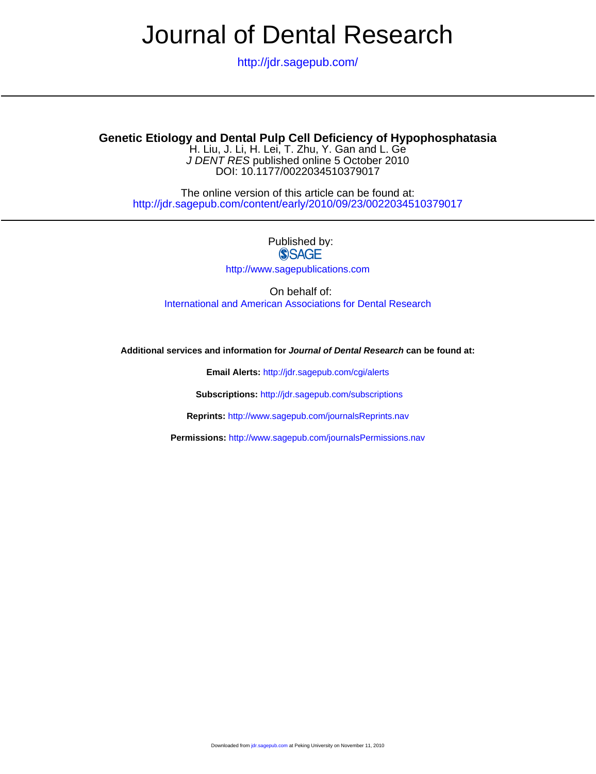# Journal of Dental Research

<http://jdr.sagepub.com/>

### **Genetic Etiology and Dental Pulp Cell Deficiency of Hypophosphatasia**

DOI: 10.1177/0022034510379017 J DENT RES published online 5 October 2010 H. Liu, J. Li, H. Lei, T. Zhu, Y. Gan and L. Ge

<http://jdr.sagepub.com/content/early/2010/09/23/0022034510379017> The online version of this article can be found at:

> Published by:<br>
> SAGE <http://www.sagepublications.com>

On behalf of: [International and American Associations for Dental Research](http://www.dentalresearch.org/i4a/pages/index.cfm?pageid=3533)

**Additional services and information for Journal of Dental Research can be found at:**

**Email Alerts:** <http://jdr.sagepub.com/cgi/alerts>

**Subscriptions:** <http://jdr.sagepub.com/subscriptions>

**Reprints:** <http://www.sagepub.com/journalsReprints.nav>

**Permissions:** <http://www.sagepub.com/journalsPermissions.nav>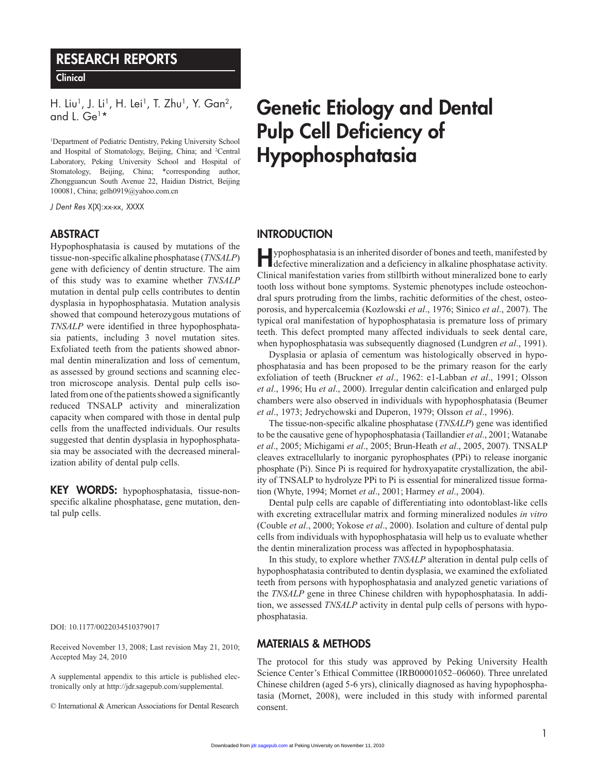## RESEARCH REPORTS

**Clinical** 

H. Liu<sup>1</sup>, J. Li<sup>1</sup>, H. Lei<sup>1</sup>, T. Zhu<sup>1</sup>, Y. Gan<sup>2</sup>, and L. Ge1 \*

<sup>1</sup>Department of Pediatric Dentistry, Peking University School and Hospital of Stomatology, Beijing, China; and <sup>2</sup>Central Laboratory, Peking University School and Hospital of Stomatology, Beijing, China; \*corresponding author, Zhongguancun South Avenue 22, Haidian District, Beijing 100081, China; gelh0919@yahoo.com.cn

*J Dent Res* X(X):xx-xx, XXXX

#### **ABSTRACT**

Hypophosphatasia is caused by mutations of the tissue-non-specific alkaline phosphatase (*TNSALP*) gene with deficiency of dentin structure. The aim of this study was to examine whether *TNSALP* mutation in dental pulp cells contributes to dentin dysplasia in hypophosphatasia. Mutation analysis showed that compound heterozygous mutations of *TNSALP* were identified in three hypophosphatasia patients, including 3 novel mutation sites. Exfoliated teeth from the patients showed abnormal dentin mineralization and loss of cementum, as assessed by ground sections and scanning electron microscope analysis. Dental pulp cells isolated from one of the patients showed a significantly reduced TNSALP activity and mineralization capacity when compared with those in dental pulp cells from the unaffected individuals. Our results suggested that dentin dysplasia in hypophosphatasia may be associated with the decreased mineralization ability of dental pulp cells.

KEY WORDS: hypophosphatasia, tissue-nonspecific alkaline phosphatase, gene mutation, dental pulp cells.

DOI: 10.1177/0022034510379017

Received November 13, 2008; Last revision May 21, 2010; Accepted May 24, 2010

A supplemental appendix to this article is published electronically only at http://jdr.sagepub.com/supplemental.

© International & American Associations for Dental Research

# Genetic Etiology and Dental Pulp Cell Deficiency of Hypophosphatasia

#### **INTRODUCTION**

Hypophosphatasia is an inherited disorder of bones and teeth, manifested by defective mineralization and a deficiency in alkaline phosphatase activity. Clinical manifestation varies from stillbirth without mineralized bone to early tooth loss without bone symptoms. Systemic phenotypes include osteochondral spurs protruding from the limbs, rachitic deformities of the chest, osteoporosis, and hypercalcemia (Kozlowski *et al*., 1976; Sinico *et al*., 2007). The typical oral manifestation of hypophosphatasia is premature loss of primary teeth. This defect prompted many affected individuals to seek dental care, when hypophosphatasia was subsequently diagnosed (Lundgren *et al*., 1991).

Dysplasia or aplasia of cementum was histologically observed in hypophosphatasia and has been proposed to be the primary reason for the early exfoliation of teeth (Bruckner *et al*., 1962: e1-Labban *et al*., 1991; Olsson *et al*., 1996; Hu *et al*., 2000). Irregular dentin calcification and enlarged pulp chambers were also observed in individuals with hypophosphatasia (Beumer *et al*., 1973; Jedrychowski and Duperon, 1979; Olsson *et al*., 1996).

The tissue-non-specific alkaline phosphatase (*TNSALP*) gene was identified to be the causative gene of hypophosphatasia (Taillandier *et al*., 2001; Watanabe *et al*., 2005; Michigami *et al*., 2005; Brun-Heath *et al*., 2005, 2007). TNSALP cleaves extracellularly to inorganic pyrophosphates (PPi) to release inorganic phosphate (Pi). Since Pi is required for hydroxyapatite crystallization, the ability of TNSALP to hydrolyze PPi to Pi is essential for mineralized tissue formation (Whyte, 1994; Mornet *et al*., 2001; Harmey *et al*., 2004).

Dental pulp cells are capable of differentiating into odontoblast-like cells with excreting extracellular matrix and forming mineralized nodules *in vitro* (Couble *et al*., 2000; Yokose *et al*., 2000). Isolation and culture of dental pulp cells from individuals with hypophosphatasia will help us to evaluate whether the dentin mineralization process was affected in hypophosphatasia.

In this study, to explore whether *TNSALP* alteration in dental pulp cells of hypophosphatasia contributed to dentin dysplasia, we examined the exfoliated teeth from persons with hypophosphatasia and analyzed genetic variations of the *TNSALP* gene in three Chinese children with hypophosphatasia. In addition, we assessed *TNSALP* activity in dental pulp cells of persons with hypophosphatasia.

#### Materials & Methods

The protocol for this study was approved by Peking University Health Science Center's Ethical Committee (IRB00001052–06060). Three unrelated Chinese children (aged 5-6 yrs), clinically diagnosed as having hypophosphatasia (Mornet, 2008), were included in this study with informed parental consent.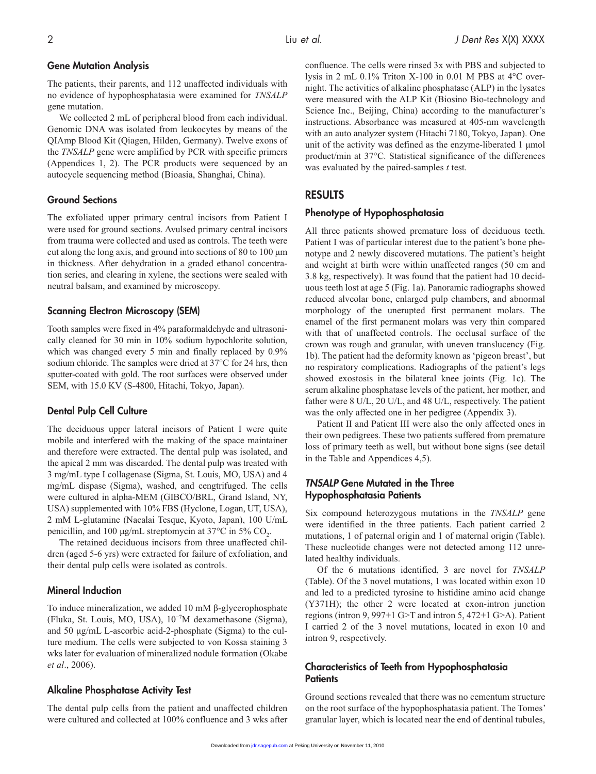#### Gene Mutation Analysis

The patients, their parents, and 112 unaffected individuals with no evidence of hypophosphatasia were examined for *TNSALP* gene mutation.

We collected 2 mL of peripheral blood from each individual. Genomic DNA was isolated from leukocytes by means of the QIAmp Blood Kit (Qiagen, Hilden, Germany). Twelve exons of the *TNSALP* gene were amplified by PCR with specific primers (Appendices 1, 2). The PCR products were sequenced by an autocycle sequencing method (Bioasia, Shanghai, China).

#### Ground Sections

The exfoliated upper primary central incisors from Patient I were used for ground sections. Avulsed primary central incisors from trauma were collected and used as controls. The teeth were cut along the long axis, and ground into sections of 80 to 100 µm in thickness. After dehydration in a graded ethanol concentration series, and clearing in xylene, the sections were sealed with neutral balsam, and examined by microscopy.

#### Scanning Electron Microscopy (SEM)

Tooth samples were fixed in 4% paraformaldehyde and ultrasonically cleaned for 30 min in 10% sodium hypochlorite solution, which was changed every 5 min and finally replaced by 0.9% sodium chloride. The samples were dried at 37°C for 24 hrs, then sputter-coated with gold. The root surfaces were observed under SEM, with 15.0 KV (S-4800, Hitachi, Tokyo, Japan).

#### Dental Pulp Cell Culture

The deciduous upper lateral incisors of Patient I were quite mobile and interfered with the making of the space maintainer and therefore were extracted. The dental pulp was isolated, and the apical 2 mm was discarded. The dental pulp was treated with 3 mg/mL type I collagenase (Sigma, St. Louis, MO, USA) and 4 mg/mL dispase (Sigma), washed, and cengtrifuged. The cells were cultured in alpha-MEM (GIBCO/BRL, Grand Island, NY, USA) supplemented with 10% FBS (Hyclone, Logan, UT, USA), 2 mM L-glutamine (Nacalai Tesque, Kyoto, Japan), 100 U/mL penicillin, and 100  $\mu$ g/mL streptomycin at 37°C in 5% CO<sub>2</sub>.

The retained deciduous incisors from three unaffected children (aged 5-6 yrs) were extracted for failure of exfoliation, and their dental pulp cells were isolated as controls.

#### Mineral Induction

To induce mineralization, we added 10 mM β-glycerophosphate (Fluka, St. Louis, MO, USA), 10−7M dexamethasone (Sigma), and 50 µg/mL L-ascorbic acid-2-phosphate (Sigma) to the culture medium. The cells were subjected to von Kossa staining 3 wks later for evaluation of mineralized nodule formation (Okabe *et al*., 2006).

#### Alkaline Phosphatase Activity Test

The dental pulp cells from the patient and unaffected children were cultured and collected at 100% confluence and 3 wks after confluence. The cells were rinsed 3x with PBS and subjected to lysis in 2 mL 0.1% Triton X-100 in 0.01 M PBS at 4°C overnight. The activities of alkaline phosphatase (ALP) in the lysates were measured with the ALP Kit (Biosino Bio-technology and Science Inc., Beijing, China) according to the manufacturer's instructions. Absorbance was measured at 405-nm wavelength with an auto analyzer system (Hitachi 7180, Tokyo, Japan). One unit of the activity was defined as the enzyme-liberated 1 µmol product/min at 37°C. Statistical significance of the differences was evaluated by the paired-samples *t* test.

#### **RESULTS**

#### Phenotype of Hypophosphatasia

All three patients showed premature loss of deciduous teeth. Patient I was of particular interest due to the patient's bone phenotype and 2 newly discovered mutations. The patient's height and weight at birth were within unaffected ranges (50 cm and 3.8 kg, respectively). It was found that the patient had 10 deciduous teeth lost at age 5 (Fig. 1a). Panoramic radiographs showed reduced alveolar bone, enlarged pulp chambers, and abnormal morphology of the unerupted first permanent molars. The enamel of the first permanent molars was very thin compared with that of unaffected controls. The occlusal surface of the crown was rough and granular, with uneven translucency (Fig. 1b). The patient had the deformity known as 'pigeon breast', but no respiratory complications. Radiographs of the patient's legs showed exostosis in the bilateral knee joints (Fig. 1c). The serum alkaline phosphatase levels of the patient, her mother, and father were 8 U/L, 20 U/L, and 48 U/L, respectively. The patient was the only affected one in her pedigree (Appendix 3).

Patient II and Patient III were also the only affected ones in their own pedigrees. These two patients suffered from premature loss of primary teeth as well, but without bone signs (see detail in the Table and Appendices 4,5).

#### *TNSALP* Gene Mutated in the Three Hypophosphatasia Patients

Six compound heterozygous mutations in the *TNSALP* gene were identified in the three patients. Each patient carried 2 mutations, 1 of paternal origin and 1 of maternal origin (Table). These nucleotide changes were not detected among 112 unrelated healthy individuals.

Of the 6 mutations identified, 3 are novel for *TNSALP* (Table). Of the 3 novel mutations, 1 was located within exon 10 and led to a predicted tyrosine to histidine amino acid change (Y371H); the other 2 were located at exon-intron junction regions (intron 9, 997+1 G>T and intron 5, 472+1 G>A). Patient I carried 2 of the 3 novel mutations, located in exon 10 and intron 9, respectively.

#### Characteristics of Teeth from Hypophosphatasia **Patients**

Ground sections revealed that there was no cementum structure on the root surface of the hypophosphatasia patient. The Tomes' granular layer, which is located near the end of dentinal tubules,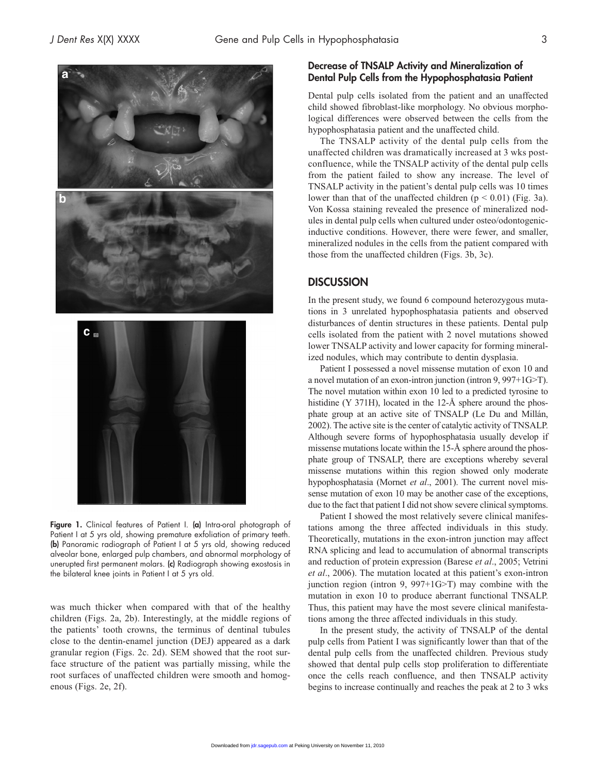

Figure 1. Clinical features of Patient I. (a) Intra-oral photograph of Patient I at 5 yrs old, showing premature exfoliation of primary teeth. (b) Panoramic radiograph of Patient I at 5 yrs old, showing reduced alveolar bone, enlarged pulp chambers, and abnormal morphology of unerupted first permanent molars. (c) Radiograph showing exostosis in the bilateral knee joints in Patient I at 5 yrs old.

was much thicker when compared with that of the healthy children (Figs. 2a, 2b). Interestingly, at the middle regions of the patients' tooth crowns, the terminus of dentinal tubules close to the dentin-enamel junction (DEJ) appeared as a dark granular region (Figs. 2c. 2d). SEM showed that the root surface structure of the patient was partially missing, while the root surfaces of unaffected children were smooth and homogenous (Figs. 2e, 2f).

#### Decrease of TNSALP Activity and Mineralization of Dental Pulp Cells from the Hypophosphatasia Patient

Dental pulp cells isolated from the patient and an unaffected child showed fibroblast-like morphology. No obvious morphological differences were observed between the cells from the hypophosphatasia patient and the unaffected child.

The TNSALP activity of the dental pulp cells from the unaffected children was dramatically increased at 3 wks postconfluence, while the TNSALP activity of the dental pulp cells from the patient failed to show any increase. The level of TNSALP activity in the patient's dental pulp cells was 10 times lower than that of the unaffected children  $(p < 0.01)$  (Fig. 3a). Von Kossa staining revealed the presence of mineralized nodules in dental pulp cells when cultured under osteo/odontogenicinductive conditions. However, there were fewer, and smaller, mineralized nodules in the cells from the patient compared with those from the unaffected children (Figs. 3b, 3c).

#### **DISCUSSION**

In the present study, we found 6 compound heterozygous mutations in 3 unrelated hypophosphatasia patients and observed disturbances of dentin structures in these patients. Dental pulp cells isolated from the patient with 2 novel mutations showed lower TNSALP activity and lower capacity for forming mineralized nodules, which may contribute to dentin dysplasia.

Patient I possessed a novel missense mutation of exon 10 and a novel mutation of an exon-intron junction (intron 9, 997+1G>T). The novel mutation within exon 10 led to a predicted tyrosine to histidine (Y 371H), located in the 12-Å sphere around the phosphate group at an active site of TNSALP (Le Du and Millán, 2002). The active site is the center of catalytic activity of TNSALP. Although severe forms of hypophosphatasia usually develop if missense mutations locate within the 15-Å sphere around the phosphate group of TNSALP, there are exceptions whereby several missense mutations within this region showed only moderate hypophosphatasia (Mornet *et al*., 2001). The current novel missense mutation of exon 10 may be another case of the exceptions, due to the fact that patient I did not show severe clinical symptoms.

Patient I showed the most relatively severe clinical manifestations among the three affected individuals in this study. Theoretically, mutations in the exon-intron junction may affect RNA splicing and lead to accumulation of abnormal transcripts and reduction of protein expression (Barese *et al*., 2005; Vetrini *et al*., 2006). The mutation located at this patient's exon-intron junction region (intron 9, 997+1G>T) may combine with the mutation in exon 10 to produce aberrant functional TNSALP. Thus, this patient may have the most severe clinical manifestations among the three affected individuals in this study.

In the present study, the activity of TNSALP of the dental pulp cells from Patient I was significantly lower than that of the dental pulp cells from the unaffected children. Previous study showed that dental pulp cells stop proliferation to differentiate once the cells reach confluence, and then TNSALP activity begins to increase continually and reaches the peak at 2 to 3 wks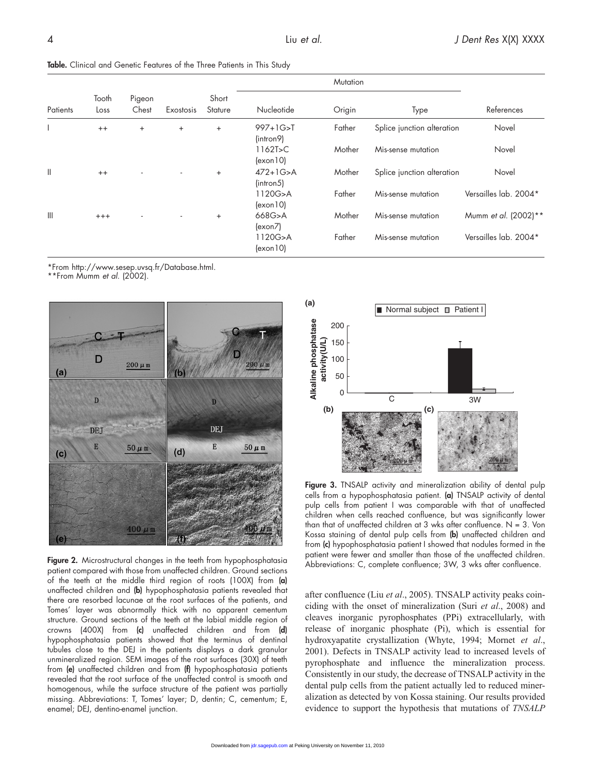Table. Clinical and Genetic Features of the Three Patients in This Study

| Patients     | Tooth<br>Loss | Pigeon<br>Chest | Exostosis | Short<br>Stature |                                                  | Mutation | Type                       | References            |
|--------------|---------------|-----------------|-----------|------------------|--------------------------------------------------|----------|----------------------------|-----------------------|
|              |               |                 |           |                  | Nucleotide                                       | Origin   |                            |                       |
|              | $^{++}$       | $+$             | $\ddot{}$ | $^{+}$           | $997+1G > T$<br>(intron9)                        | Father   | Splice junction alteration | Novel                 |
|              |               |                 |           |                  | $1162$ T>C<br>(exon10)                           | Mother   | Mis-sense mutation         | Novel                 |
| Ш            | $++$          |                 |           | $\ddot{}$        | $472 + 1G > A$<br>(intron5)                      | Mother   | Splice junction alteration | Novel                 |
|              |               |                 |           |                  | 1120G>A<br>$\left(\frac{\text{exon}}{10}\right)$ | Father   | Mis-sense mutation         | Versailles lab. 2004* |
| $\mathbb{H}$ | $^{+++}$      |                 |           | $^{+}$           | 668G>A<br>(exon7)                                | Mother   | Mis-sense mutation         | Mumm et al. (2002)**  |
|              |               |                 |           |                  | 1120G>A<br>$\left  \text{exon } 10 \right $      | Father   | Mis-sense mutation         | Versailles lab. 2004* |

\*From http://www.sesep.uvsq.fr/Database.html.

\*\*From Mumm *et al*. (2002).



Figure 2. Microstructural changes in the teeth from hypophosphatasia patient compared with those from unaffected children. Ground sections of the teeth at the middle third region of roots (100X) from (a) unaffected children and (b) hypophosphatasia patients revealed that there are resorbed lacunae at the root surfaces of the patients, and Tomes' layer was abnormally thick with no apparent cementum structure. Ground sections of the teeth at the labial middle region of crowns (400X) from (c) unaffected children and from (d) hypophosphatasia patients showed that the terminus of dentinal tubules close to the DEJ in the patients displays a dark granular unmineralized region. SEM images of the root surfaces (30X) of teeth from (e) unaffected children and from (f) hypophosphatasia patients revealed that the root surface of the unaffected control is smooth and homogenous, while the surface structure of the patient was partially missing. Abbreviations: T, Tomes' layer; D, dentin; C, cementum; E, enamel; DEJ, dentino-enamel junction.



Figure 3. TNSALP activity and mineralization ability of dental pulp cells from a hypophosphatasia patient. (a) TNSALP activity of dental pulp cells from patient I was comparable with that of unaffected children when cells reached confluence, but was significantly lower than that of unaffected children at 3 wks after confluence.  $N = 3$ . Von Kossa staining of dental pulp cells from (b) unaffected children and from (c) hypophosphatasia patient I showed that nodules formed in the patient were fewer and smaller than those of the unaffected children. Abbreviations: C, complete confluence; 3W, 3 wks after confluence.

after confluence (Liu *et al*., 2005). TNSALP activity peaks coinciding with the onset of mineralization (Suri *et al*., 2008) and cleaves inorganic pyrophosphates (PPi) extracellularly, with release of inorganic phosphate (Pi), which is essential for hydroxyapatite crystallization (Whyte, 1994; Mornet *et al*., 2001). Defects in TNSALP activity lead to increased levels of pyrophosphate and influence the mineralization process. Consistently in our study, the decrease of TNSALP activity in the dental pulp cells from the patient actually led to reduced mineralization as detected by von Kossa staining. Our results provided evidence to support the hypothesis that mutations of *TNSALP*